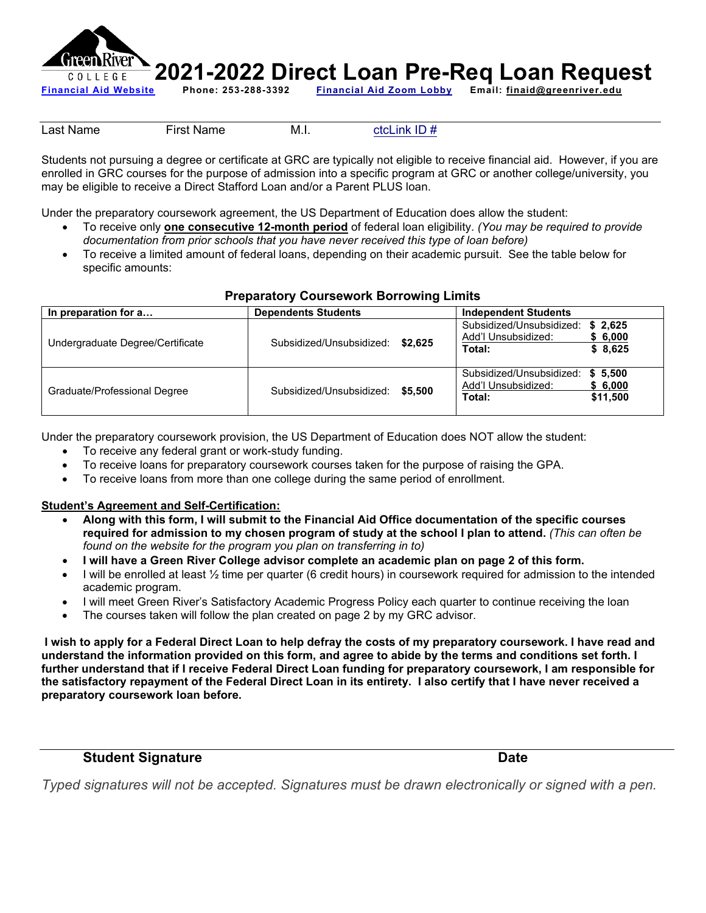

Last Name First Name M.I. [ctcLink ID #](https://my.greenriver.edu/lookup)

Students not pursuing a degree or certificate at GRC are typically not eligible to receive financial aid. However, if you are enrolled in GRC courses for the purpose of admission into a specific program at GRC or another college/university, you may be eligible to receive a Direct Stafford Loan and/or a Parent PLUS loan.

Under the preparatory coursework agreement, the US Department of Education does allow the student:

- To receive only **one consecutive 12-month period** of federal loan eligibility. *(You may be required to provide documentation from prior schools that you have never received this type of loan before)*
- To receive a limited amount of federal loans, depending on their academic pursuit. See the table below for specific amounts:

## **Preparatory Coursework Borrowing Limits**

| In preparation for a             | <b>Dependents Students</b>          | <b>Independent Students</b>                                                                 |  |
|----------------------------------|-------------------------------------|---------------------------------------------------------------------------------------------|--|
| Undergraduate Degree/Certificate | Subsidized/Unsubsidized:<br>\$2.625 | Subsidized/Unsubsidized:<br>\$2.625<br>Add'l Unsubsidized:<br>\$6,000<br>\$8,625<br>Total:  |  |
| Graduate/Professional Degree     | Subsidized/Unsubsidized:<br>\$5.500 | Subsidized/Unsubsidized:<br>\$5.500<br>Add'l Unsubsidized:<br>\$6,000<br>\$11.500<br>Total: |  |

Under the preparatory coursework provision, the US Department of Education does NOT allow the student:

- To receive any federal grant or work-study funding.
- To receive loans for preparatory coursework courses taken for the purpose of raising the GPA.
- To receive loans from more than one college during the same period of enrollment.

## **Student's Agreement and Self-Certification:**

- **Along with this form, I will submit to the Financial Aid Office documentation of the specific courses required for admission to my chosen program of study at the school I plan to attend.** *(This can often be found on the website for the program you plan on transferring in to)*
- **I will have a Green River College advisor complete an academic plan on page 2 of this form.**
- I will be enrolled at least  $\frac{1}{2}$  time per quarter (6 credit hours) in coursework required for admission to the intended academic program.
- I will meet Green River's Satisfactory Academic Progress Policy each quarter to continue receiving the loan
- The courses taken will follow the plan created on page 2 by my GRC advisor.

**I wish to apply for a Federal Direct Loan to help defray the costs of my preparatory coursework. I have read and understand the information provided on this form, and agree to abide by the terms and conditions set forth. I further understand that if I receive Federal Direct Loan funding for preparatory coursework, I am responsible for the satisfactory repayment of the Federal Direct Loan in its entirety. I also certify that I have never received a preparatory coursework loan before.**

## **Student Signature Community Community Student Signature Community Community Community Community Community Community**

*Typed signatures will not be accepted. Signatures must be drawn electronically or signed with a pen.*